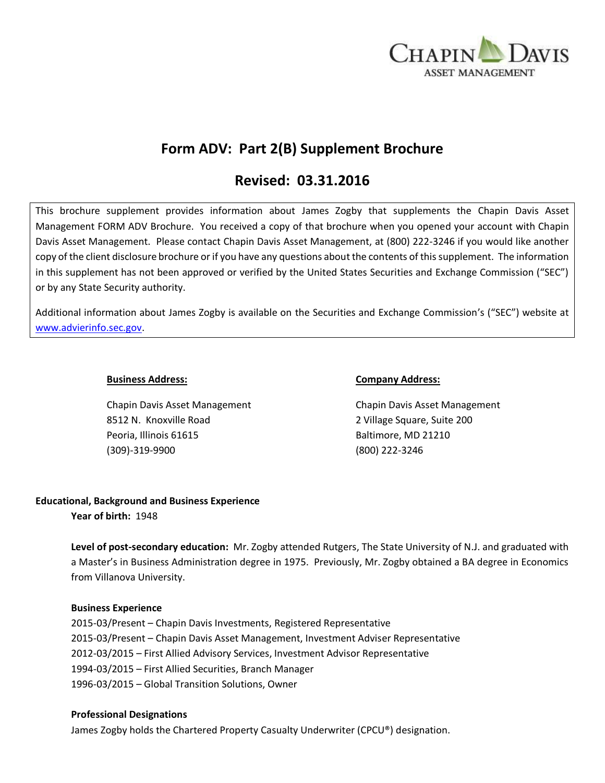

# **Form ADV: Part 2(B) Supplement Brochure**

# **Revised: 03.31.2016**

This brochure supplement provides information about James Zogby that supplements the Chapin Davis Asset Management FORM ADV Brochure. You received a copy of that brochure when you opened your account with Chapin Davis Asset Management. Please contact Chapin Davis Asset Management, at (800) 222-3246 if you would like another copy of the client disclosure brochure or if you have any questions about the contents of this supplement. The information in this supplement has not been approved or verified by the United States Securities and Exchange Commission ("SEC") or by any State Security authority.

Additional information about James Zogby is available on the Securities and Exchange Commission's ("SEC") website at [www.advierinfo.sec.gov.](http://www.advierinfo.sec.gov/)

Chapin Davis Asset Management Chapin Davis Asset Management 8512 N. Knoxville Road 2 Village Square, Suite 200 Peoria, Illinois 61615 Baltimore, MD 21210 (309)-319-9900 (800) 222-3246

### **Business Address: Company Address:**

# **Educational, Background and Business Experience**

**Year of birth:** 1948

**Level of post-secondary education:** Mr. Zogby attended Rutgers, The State University of N.J. and graduated with a Master's in Business Administration degree in 1975. Previously, Mr. Zogby obtained a BA degree in Economics from Villanova University.

# **Business Experience**

2015-03/Present – Chapin Davis Investments, Registered Representative 2015-03/Present – Chapin Davis Asset Management, Investment Adviser Representative 2012-03/2015 – First Allied Advisory Services, Investment Advisor Representative 1994-03/2015 – First Allied Securities, Branch Manager 1996-03/2015 – Global Transition Solutions, Owner

#### **Professional Designations**

James Zogby holds the Chartered Property Casualty Underwriter (CPCU®) designation.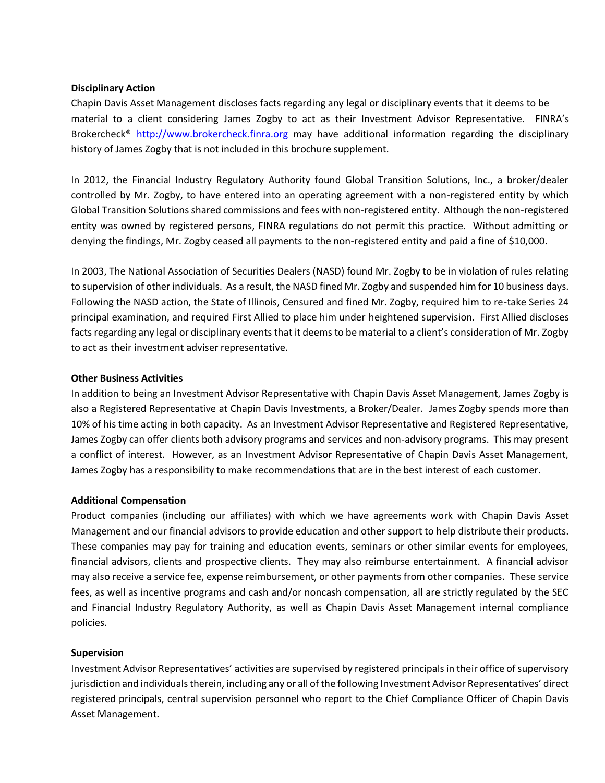### **Disciplinary Action**

Chapin Davis Asset Management discloses facts regarding any legal or disciplinary events that it deems to be material to a client considering James Zogby to act as their Investment Advisor Representative. FINRA's Brokercheck<sup>®</sup> [http://www.brokercheck.finra.org](http://www.brokercheck.finra.org/) may have additional information regarding the disciplinary history of James Zogby that is not included in this brochure supplement.

In 2012, the Financial Industry Regulatory Authority found Global Transition Solutions, Inc., a broker/dealer controlled by Mr. Zogby, to have entered into an operating agreement with a non-registered entity by which Global Transition Solutions shared commissions and fees with non-registered entity. Although the non-registered entity was owned by registered persons, FINRA regulations do not permit this practice. Without admitting or denying the findings, Mr. Zogby ceased all payments to the non-registered entity and paid a fine of \$10,000.

In 2003, The National Association of Securities Dealers (NASD) found Mr. Zogby to be in violation of rules relating to supervision of other individuals. As a result, the NASD fined Mr. Zogby and suspended him for 10 business days. Following the NASD action, the State of Illinois, Censured and fined Mr. Zogby, required him to re-take Series 24 principal examination, and required First Allied to place him under heightened supervision. First Allied discloses facts regarding any legal or disciplinary events that it deems to be material to a client's consideration of Mr. Zogby to act as their investment adviser representative.

### **Other Business Activities**

In addition to being an Investment Advisor Representative with Chapin Davis Asset Management, James Zogby is also a Registered Representative at Chapin Davis Investments, a Broker/Dealer. James Zogby spends more than 10% of his time acting in both capacity. As an Investment Advisor Representative and Registered Representative, James Zogby can offer clients both advisory programs and services and non-advisory programs. This may present a conflict of interest. However, as an Investment Advisor Representative of Chapin Davis Asset Management, James Zogby has a responsibility to make recommendations that are in the best interest of each customer.

# **Additional Compensation**

Product companies (including our affiliates) with which we have agreements work with Chapin Davis Asset Management and our financial advisors to provide education and other support to help distribute their products. These companies may pay for training and education events, seminars or other similar events for employees, financial advisors, clients and prospective clients. They may also reimburse entertainment. A financial advisor may also receive a service fee, expense reimbursement, or other payments from other companies. These service fees, as well as incentive programs and cash and/or noncash compensation, all are strictly regulated by the SEC and Financial Industry Regulatory Authority, as well as Chapin Davis Asset Management internal compliance policies.

#### **Supervision**

Investment Advisor Representatives' activities are supervised by registered principals in their office of supervisory jurisdiction and individuals therein, including any or all of the following Investment Advisor Representatives' direct registered principals, central supervision personnel who report to the Chief Compliance Officer of Chapin Davis Asset Management.